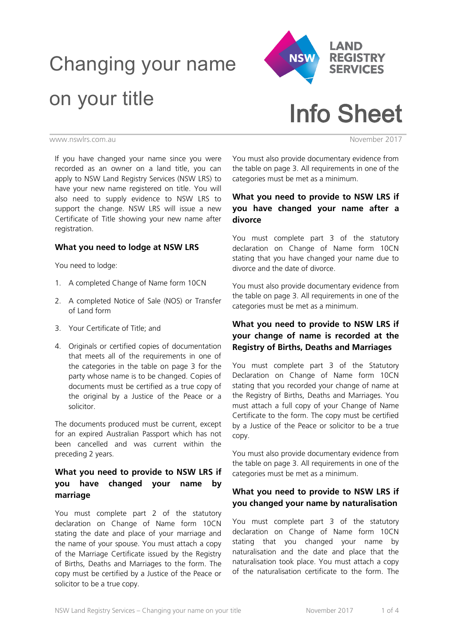# Changing your name on your title



Info Sheet

www.nswlrs.com.au November 2017

If you have changed your name since you were recorded as an owner on a land title, you can apply to NSW Land Registry Services (NSW LRS) to have your new name registered on title. You will also need to supply evidence to NSW LRS to support the change. NSW LRS will issue a new Certificate of Title showing your new name after registration.

#### **What you need to lodge at NSW LRS**

You need to lodge:

- 1. A completed Change of Name form 10CN
- 2. A completed Notice of Sale (NOS) or Transfer of Land form
- 3. Your Certificate of Title; and
- 4. Originals or certified copies of documentation that meets all of the requirements in one of the categories in the table on page 3 for the party whose name is to be changed. Copies of documents must be certified as a true copy of the original by a Justice of the Peace or a solicitor.

The documents produced must be current, except for an expired Australian Passport which has not been cancelled and was current within the preceding 2 years.

# **What you need to provide to NSW LRS if you have changed your name by marriage**

You must complete part 2 of the statutory declaration on Change of Name form 10CN stating the date and place of your marriage and the name of your spouse. You must attach a copy of the Marriage Certificate issued by the Registry of Births, Deaths and Marriages to the form. The copy must be certified by a Justice of the Peace or solicitor to be a true copy.

You must also provide documentary evidence from the table on page 3. All requirements in one of the categories must be met as a minimum.

# **What you need to provide to NSW LRS if you have changed your name after a divorce**

You must complete part 3 of the statutory declaration on Change of Name form 10CN stating that you have changed your name due to divorce and the date of divorce.

You must also provide documentary evidence from the table on page 3. All requirements in one of the categories must be met as a minimum.

# **What you need to provide to NSW LRS if your change of name is recorded at the Registry of Births, Deaths and Marriages**

You must complete part 3 of the Statutory Declaration on Change of Name form 10CN stating that you recorded your change of name at the Registry of Births, Deaths and Marriages. You must attach a full copy of your Change of Name Certificate to the form. The copy must be certified by a Justice of the Peace or solicitor to be a true copy.

You must also provide documentary evidence from the table on page 3. All requirements in one of the categories must be met as a minimum.

# **What you need to provide to NSW LRS if you changed your name by naturalisation**

You must complete part 3 of the statutory declaration on Change of Name form 10CN stating that you changed your name by naturalisation and the date and place that the naturalisation took place. You must attach a copy of the naturalisation certificate to the form. The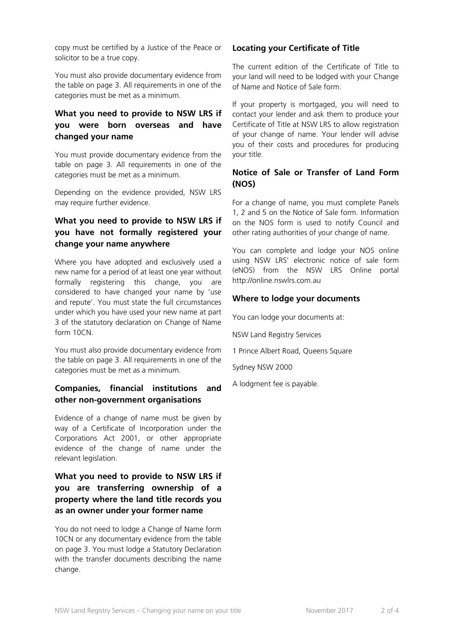copy must be certified by a Justice of the Peace or solicitor to be a true copy.

You must also provide documentary evidence from the table on page 3. All requirements in one of the categories must be met as a minimum.

# **What you need to provide to NSW LRS if you were born overseas and have changed your name**

You must provide documentary evidence from the table on page 3. All requirements in one of the categories must be met as a minimum.

Depending on the evidence provided, NSW LRS may require further evidence.

# **What you need to provide to NSW LRS if you have not formally registered your change your name anywhere**

Where you have adopted and exclusively used a new name for a period of at least one year without formally registering this change, you are considered to have changed your name by 'use and repute'. You must state the full circumstances under which you have used your new name at part 3 of the statutory declaration on Change of Name form 10CN.

You must also provide documentary evidence from the table on page 3. All requirements in one of the categories must be met as a minimum.

#### **Companies, financial institutions and other non-government organisations**

Evidence of a change of name must be given by way of a Certificate of Incorporation under the Corporations Act 2001, or other appropriate evidence of the change of name under the relevant legislation.

# **What you need to provide to NSW LRS if you are transferring ownership of a property where the land title records you as an owner under your former name**

You do not need to lodge a Change of Name form 10CN or any documentary evidence from the table on page 3. You must lodge a Statutory Declaration with the transfer documents describing the name change.

#### **Locating your Certificate of Title**

The current edition of the Certificate of Title to your land will need to be lodged with your Change of Name and Notice of Sale form.

If your property is mortgaged, you will need to contact your lender and ask them to produce your Certificate of Title at NSW LRS to allow registration of your change of name. Your lender will advise you of their costs and procedures for producing your title.

## **Notice of Sale or Transfer of Land Form (NOS)**

For a change of name, you must complete Panels 1, 2 and 5 on the Notice of Sale form. Information on the NOS form is used to notify Council and other rating authorities of your change of name.

You can complete and lodge your NOS online using NSW LRS' electronic notice of sale form (eNOS) from the NSW LRS Online portal http://online.nswlrs.com.au

#### **Where to lodge your documents**

You can lodge your documents at:

NSW Land Registry Services

1 Prince Albert Road, Queens Square

Sydney NSW 2000

A lodgment fee is payable.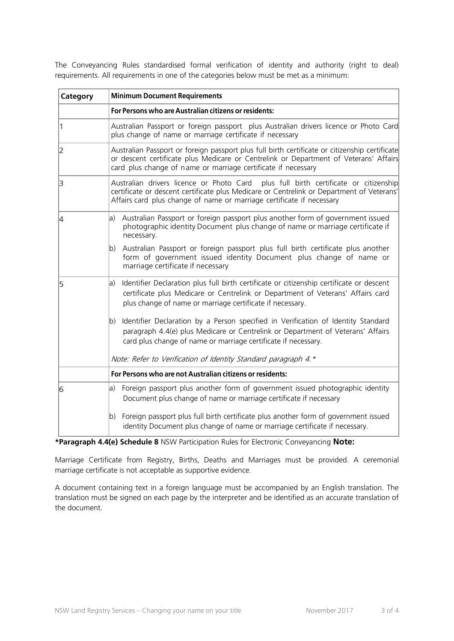The Conveyancing Rules standardised formal verification of identity and authority (right to deal) requirements. All requirements in one of the categories below must be met as a minimum:

| Category | <b>Minimum Document Requirements</b>                                                                                                                                                                                                                      |
|----------|-----------------------------------------------------------------------------------------------------------------------------------------------------------------------------------------------------------------------------------------------------------|
|          | For Persons who are Australian citizens or residents:                                                                                                                                                                                                     |
|          | Australian Passport or foreign passport plus Australian drivers licence or Photo Card<br>plus change of name or marriage certificate if necessary                                                                                                         |
| 2        | Australian Passport or foreign passport plus full birth certificate or citizenship certificate<br>or descent certificate plus Medicare or Centrelink or Department of Veterans' Affairs<br>card plus change of name or marriage certificate if necessary  |
| 3        | Australian drivers licence or Photo Card plus full birth certificate or citizenship<br>certificate or descent certificate plus Medicare or Centrelink or Department of Veterans'<br>Affairs card plus change of name or marriage certificate if necessary |
| 4        | Australian Passport or foreign passport plus another form of government issued<br>la)<br>photographic identity Document plus change of name or marriage certificate if<br>necessary.                                                                      |
|          | Australian Passport or foreign passport plus full birth certificate plus another<br>$ b\rangle$<br>form of government issued identity Document plus change of name or<br>marriage certificate if necessary                                                |
| 15       | Identifier Declaration plus full birth certificate or citizenship certificate or descent<br>la)<br>certificate plus Medicare or Centrelink or Department of Veterans' Affairs card<br>plus change of name or marriage certificate if necessary.           |
|          | Identifier Declaration by a Person specified in Verification of Identity Standard<br>$ b\rangle$<br>paragraph 4.4(e) plus Medicare or Centrelink or Department of Veterans' Affairs<br>card plus change of name or marriage certificate if necessary.     |
|          | Note: Refer to Verification of Identity Standard paragraph 4.*                                                                                                                                                                                            |
|          | For Persons who are not Australian citizens or residents:                                                                                                                                                                                                 |
| 16       | a) Foreign passport plus another form of government issued photographic identity<br>Document plus change of name or marriage certificate if necessary                                                                                                     |
|          | Foreign passport plus full birth certificate plus another form of government issued<br>$ b\rangle$<br>identity Document plus change of name or marriage certificate if necessary.                                                                         |

**\*Paragraph 4.4(e) Schedule 8** NSW Participation Rules for Electronic Conveyancing **Note:**

Marriage Certificate from Registry, Births, Deaths and Marriages must be provided. A ceremonial marriage certificate is not acceptable as supportive evidence.

A document containing text in a foreign language must be accompanied by an English translation. The translation must be signed on each page by the interpreter and be identified as an accurate translation of the document.